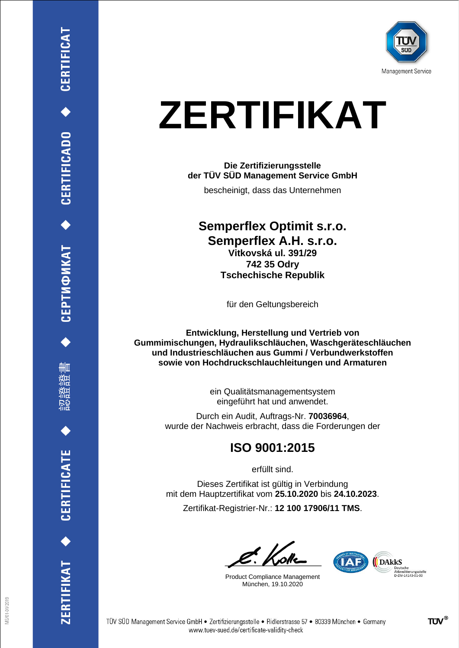

# **ZERTIFIKAT**

#### **Die Zertifizierungsstelle der TÜV SÜD Management Service GmbH**

bescheinigt, dass das Unternehmen

### **Semperflex Optimit s.r.o. Semperflex A.H. s.r.o. Vitkovská ul. 391/29 742 35 Odry Tschechische Republik**

für den Geltungsbereich

**Entwicklung, Herstellung und Vertrieb von Gummimischungen, Hydraulikschläuchen, Waschgeräteschläuchen und Industrieschläuchen aus Gummi / Verbundwerkstoffen sowie von Hochdruckschlauchleitungen und Armaturen**

> ein Qualitätsmanagementsystem eingeführt hat und anwendet.

Durch ein Audit, Auftrags-Nr. **70036964**, wurde der Nachweis erbracht, dass die Forderungen der

### **ISO 9001:2015**

erfüllt sind.

Dieses Zertifikat ist gültig in Verbindung mit dem Hauptzertifikat vom **25.10.2020** bis **24.10.2023**.

Zertifikat-Registrier-Nr.: **12 100 17906/11 TMS**.

Product Compliance Management München, 19.10.2020



ERTIFIKAT<sup>+</sup>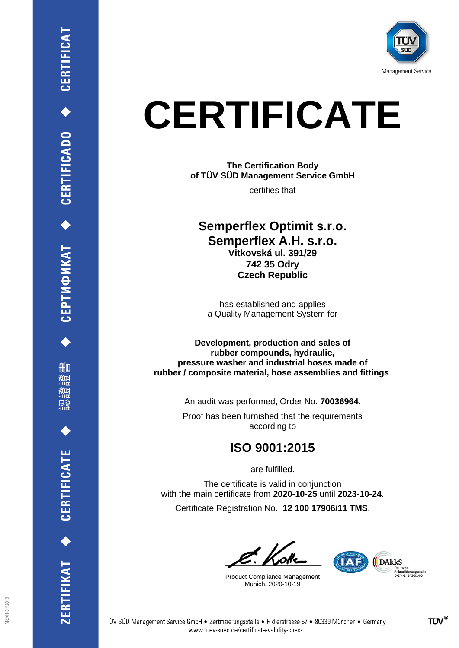

# **CERTIFICATE**

**The Certification Body of TÜV SÜD Management Service GmbH**

certifies that

### **Semperflex Optimit s.r.o. Semperflex A.H. s.r.o. Vitkovská ul. 391/29 742 35 Odry Czech Republic**

has established and applies a Quality Management System for

**Development, production and sales of rubber compounds, hydraulic, pressure washer and industrial hoses made of rubber / composite material, hose assemblies and fittings**.

An audit was performed, Order No. **70036964**.

Proof has been furnished that the requirements according to

## **ISO 9001:2015**

are fulfilled.

The certificate is valid in conjunction with the main certificate from **2020-10-25** until **2023-10-24**.

Certificate Registration No.: **12 100 17906/11 TMS**.

Product Compliance Management Munich, 2020-10-19



ERTIFIKAT<sup>+</sup>